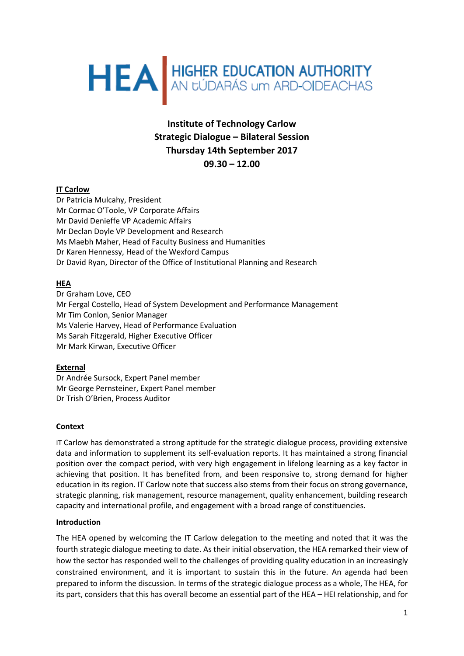# HEA HIGHER EDUCATION AUTHORITY

# **Institute of Technology Carlow Strategic Dialogue – Bilateral Session Thursday 14th September 2017 09.30 – 12.00**

# **IT Carlow**

Dr Patricia Mulcahy, President Mr Cormac O'Toole, VP Corporate Affairs Mr David Denieffe VP Academic Affairs Mr Declan Doyle VP Development and Research Ms Maebh Maher, Head of Faculty Business and Humanities Dr Karen Hennessy, Head of the Wexford Campus Dr David Ryan, Director of the Office of Institutional Planning and Research

### **HEA**

Dr Graham Love, CEO Mr Fergal Costello, Head of System Development and Performance Management Mr Tim Conlon, Senior Manager Ms Valerie Harvey, Head of Performance Evaluation Ms Sarah Fitzgerald, Higher Executive Officer Mr Mark Kirwan, Executive Officer

### **External**

Dr Andrée Sursock, Expert Panel member Mr George Pernsteiner, Expert Panel member Dr Trish O'Brien, Process Auditor

#### **Context**

IT Carlow has demonstrated a strong aptitude for the strategic dialogue process, providing extensive data and information to supplement its self-evaluation reports. It has maintained a strong financial position over the compact period, with very high engagement in lifelong learning as a key factor in achieving that position. It has benefited from, and been responsive to, strong demand for higher education in its region. IT Carlow note that success also stems from their focus on strong governance, strategic planning, risk management, resource management, quality enhancement, building research capacity and international profile, and engagement with a broad range of constituencies.

#### **Introduction**

The HEA opened by welcoming the IT Carlow delegation to the meeting and noted that it was the fourth strategic dialogue meeting to date. As their initial observation, the HEA remarked their view of how the sector has responded well to the challenges of providing quality education in an increasingly constrained environment, and it is important to sustain this in the future. An agenda had been prepared to inform the discussion. In terms of the strategic dialogue process as a whole, The HEA, for its part, considers that this has overall become an essential part of the HEA – HEI relationship, and for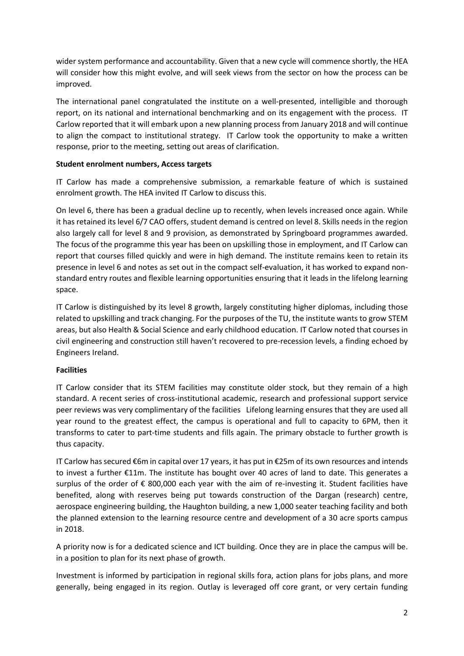wider system performance and accountability. Given that a new cycle will commence shortly, the HEA will consider how this might evolve, and will seek views from the sector on how the process can be improved.

The international panel congratulated the institute on a well-presented, intelligible and thorough report, on its national and international benchmarking and on its engagement with the process. IT Carlow reported that it will embark upon a new planning process from January 2018 and will continue to align the compact to institutional strategy. IT Carlow took the opportunity to make a written response, prior to the meeting, setting out areas of clarification.

#### **Student enrolment numbers, Access targets**

IT Carlow has made a comprehensive submission, a remarkable feature of which is sustained enrolment growth. The HEA invited IT Carlow to discuss this.

On level 6, there has been a gradual decline up to recently, when levels increased once again. While it has retained its level 6/7 CAO offers, student demand is centred on level 8. Skills needs in the region also largely call for level 8 and 9 provision, as demonstrated by Springboard programmes awarded. The focus of the programme this year has been on upskilling those in employment, and IT Carlow can report that courses filled quickly and were in high demand. The institute remains keen to retain its presence in level 6 and notes as set out in the compact self-evaluation, it has worked to expand nonstandard entry routes and flexible learning opportunities ensuring that it leads in the lifelong learning space.

IT Carlow is distinguished by its level 8 growth, largely constituting higher diplomas, including those related to upskilling and track changing. For the purposes of the TU, the institute wants to grow STEM areas, but also Health & Social Science and early childhood education. IT Carlow noted that courses in civil engineering and construction still haven't recovered to pre-recession levels, a finding echoed by Engineers Ireland.

### **Facilities**

IT Carlow consider that its STEM facilities may constitute older stock, but they remain of a high standard. A recent series of cross-institutional academic, research and professional support service peer reviews was very complimentary of the facilities Lifelong learning ensures that they are used all year round to the greatest effect, the campus is operational and full to capacity to 6PM, then it transforms to cater to part-time students and fills again. The primary obstacle to further growth is thus capacity.

IT Carlow has secured €6m in capital over 17 years, it has put in €25m of its own resources and intends to invest a further €11m. The institute has bought over 40 acres of land to date. This generates a surplus of the order of  $\epsilon$  800,000 each year with the aim of re-investing it. Student facilities have benefited, along with reserves being put towards construction of the Dargan (research) centre, aerospace engineering building, the Haughton building, a new 1,000 seater teaching facility and both the planned extension to the learning resource centre and development of a 30 acre sports campus in 2018.

A priority now is for a dedicated science and ICT building. Once they are in place the campus will be. in a position to plan for its next phase of growth.

Investment is informed by participation in regional skills fora, action plans for jobs plans, and more generally, being engaged in its region. Outlay is leveraged off core grant, or very certain funding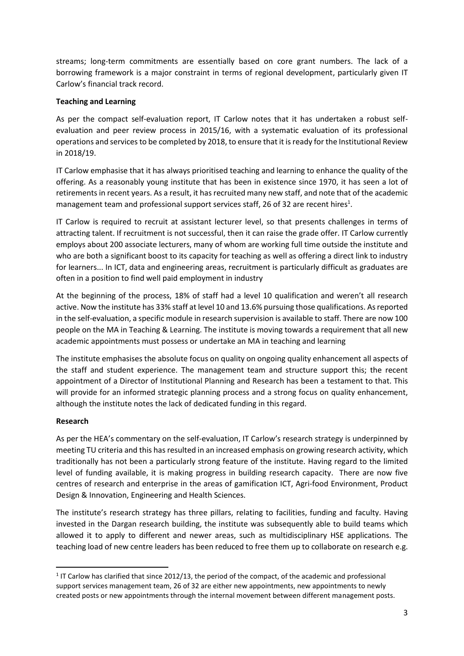streams; long-term commitments are essentially based on core grant numbers. The lack of a borrowing framework is a major constraint in terms of regional development, particularly given IT Carlow's financial track record.

#### **Teaching and Learning**

As per the compact self-evaluation report, IT Carlow notes that it has undertaken a robust selfevaluation and peer review process in 2015/16, with a systematic evaluation of its professional operations and servicesto be completed by 2018, to ensure that it is ready for the Institutional Review in 2018/19.

IT Carlow emphasise that it has always prioritised teaching and learning to enhance the quality of the offering. As a reasonably young institute that has been in existence since 1970, it has seen a lot of retirements in recent years. As a result, it has recruited many new staff, and note that of the academic management team and professional support services staff, 26 of 32 are recent hires<sup>1</sup>.

IT Carlow is required to recruit at assistant lecturer level, so that presents challenges in terms of attracting talent. If recruitment is not successful, then it can raise the grade offer. IT Carlow currently employs about 200 associate lecturers, many of whom are working full time outside the institute and who are both a significant boost to its capacity for teaching as well as offering a direct link to industry for learners... In ICT, data and engineering areas, recruitment is particularly difficult as graduates are often in a position to find well paid employment in industry

At the beginning of the process, 18% of staff had a level 10 qualification and weren't all research active. Now the institute has 33% staff at level 10 and 13.6% pursuing those qualifications. As reported in the self-evaluation, a specific module in research supervision is available to staff. There are now 100 people on the MA in Teaching & Learning. The institute is moving towards a requirement that all new academic appointments must possess or undertake an MA in teaching and learning

The institute emphasises the absolute focus on quality on ongoing quality enhancement all aspects of the staff and student experience. The management team and structure support this; the recent appointment of a Director of Institutional Planning and Research has been a testament to that. This will provide for an informed strategic planning process and a strong focus on quality enhancement, although the institute notes the lack of dedicated funding in this regard.

### **Research**

**.** 

As per the HEA's commentary on the self-evaluation, IT Carlow's research strategy is underpinned by meeting TU criteria and this has resulted in an increased emphasis on growing research activity, which traditionally has not been a particularly strong feature of the institute. Having regard to the limited level of funding available, it is making progress in building research capacity. There are now five centres of research and enterprise in the areas of gamification ICT, Agri-food Environment, Product Design & Innovation, Engineering and Health Sciences.

The institute's research strategy has three pillars, relating to facilities, funding and faculty. Having invested in the Dargan research building, the institute was subsequently able to build teams which allowed it to apply to different and newer areas, such as multidisciplinary HSE applications. The teaching load of new centre leaders has been reduced to free them up to collaborate on research e.g.

 $1$  IT Carlow has clarified that since 2012/13, the period of the compact, of the academic and professional support services management team, 26 of 32 are either new appointments, new appointments to newly created posts or new appointments through the internal movement between different management posts.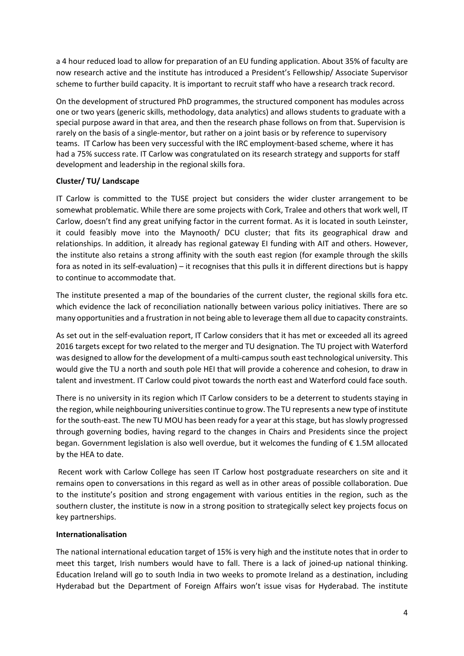a 4 hour reduced load to allow for preparation of an EU funding application. About 35% of faculty are now research active and the institute has introduced a President's Fellowship/ Associate Supervisor scheme to further build capacity. It is important to recruit staff who have a research track record.

On the development of structured PhD programmes, the structured component has modules across one or two years (generic skills, methodology, data analytics) and allows students to graduate with a special purpose award in that area, and then the research phase follows on from that. Supervision is rarely on the basis of a single-mentor, but rather on a joint basis or by reference to supervisory teams. IT Carlow has been very successful with the IRC employment-based scheme, where it has had a 75% success rate. IT Carlow was congratulated on its research strategy and supports for staff development and leadership in the regional skills fora.

### **Cluster/ TU/ Landscape**

IT Carlow is committed to the TUSE project but considers the wider cluster arrangement to be somewhat problematic. While there are some projects with Cork, Tralee and others that work well, IT Carlow, doesn't find any great unifying factor in the current format. As it is located in south Leinster, it could feasibly move into the Maynooth/ DCU cluster; that fits its geographical draw and relationships. In addition, it already has regional gateway EI funding with AIT and others. However, the institute also retains a strong affinity with the south east region (for example through the skills fora as noted in its self-evaluation) – it recognises that this pulls it in different directions but is happy to continue to accommodate that.

The institute presented a map of the boundaries of the current cluster, the regional skills fora etc. which evidence the lack of reconciliation nationally between various policy initiatives. There are so many opportunities and a frustration in not being able to leverage them all due to capacity constraints.

As set out in the self-evaluation report, IT Carlow considers that it has met or exceeded all its agreed 2016 targets except for two related to the merger and TU designation. The TU project with Waterford was designed to allow for the development of a multi-campus south east technological university. This would give the TU a north and south pole HEI that will provide a coherence and cohesion, to draw in talent and investment. IT Carlow could pivot towards the north east and Waterford could face south.

There is no university in its region which IT Carlow considers to be a deterrent to students staying in the region, while neighbouring universities continue to grow. The TU represents a new type of institute for the south-east. The new TU MOU has been ready for a year at this stage, but has slowly progressed through governing bodies, having regard to the changes in Chairs and Presidents since the project began. Government legislation is also well overdue, but it welcomes the funding of € 1.5M allocated by the HEA to date.

Recent work with Carlow College has seen IT Carlow host postgraduate researchers on site and it remains open to conversations in this regard as well as in other areas of possible collaboration. Due to the institute's position and strong engagement with various entities in the region, such as the southern cluster, the institute is now in a strong position to strategically select key projects focus on key partnerships.

#### **Internationalisation**

The national international education target of 15% is very high and the institute notes that in order to meet this target, Irish numbers would have to fall. There is a lack of joined-up national thinking. Education Ireland will go to south India in two weeks to promote Ireland as a destination, including Hyderabad but the Department of Foreign Affairs won't issue visas for Hyderabad. The institute